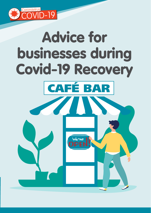

# Advice for businesses during Covid-19 Recovery CAFÉ BARWe're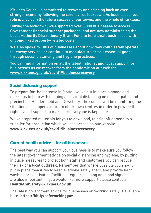Kirklees Council is committed to recovery and bringing back an even stronger economy following the coronavirus lockdown. As businesses, your role is crucial in the future success of our towns, and the whole of Kirklees.

During the lockdown, we supported over 8,000 businesses to access Government financial support packages, and are now administering the Local Authority Discretionary Grant Fund to help small businesses with ongoing fixed property-related costs.

We also spoke to 100s of businesses about how they could safely operate takeaway services or continue to manufacture or sell essential goods through social distancing and hygiene practices.

You can find information on all the latest national and local support for businesses as we recover from the pandemic on our website: **www.kirklees.gov.uk/covid19businessrecovery**

# Social distancing support

To prepare for the increase in footfall we've put in place signage and markings to help with queuing and social distancing on our footpaths and precincts in Huddersfield and Dewsbury. The council will be monitoring the situation as shoppers return to other town centres in order to provide the right level of support to make sure everyone is kept safe.

We've prepared materials for you to download, to print off or send to a supplier for production which you can access on our website **www.kirklees.gov.uk/covid19businessrecovery**

# Current health advice – for all businesses

The best way you can support your business is to make sure you follow the latest government advice on social distancing and hygiene, by putting in place measures to protect both staff and customers you can reduce the risk of a local outbreak. Remember that where possible you should put in place measures to keep everyone safely apart, and provide hand washing or sanitisation facilities, regular cleaning and good signage are also important. If you would like more support please contact: **HealthAndSafety@kirklees.gov.uk**

The latest government advice for businesses on working safely is available here: **https://bit.ly/safeworkinggov**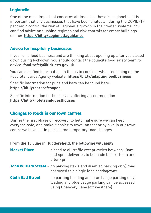# **Legionella**

One of the most important concerns at times like these is Legionella. It is important that any businesses that have been shutdown during the COVID-19 pandemic control the risk of Legionella growth in their water systems. You can find advice on flushing regimes and risk controls for empty buildings online: **https://bit.ly/Legionellaguidance**

# Advice for hospitality businesses

If you run a food business and are thinking about opening up after you closed down during lockdown, you should contact the council's food safety team for advice: **food.safety@kirklees.gov.uk**

You can also find information on things to consider when reopening on the Food Standards Agency website: **https://bit.ly/adaptingfoodbusiness**

Specific information for pubs and bars can be found here: **https://bit.ly/barscafesopen**

Specific information for businesses offering accommodation: **https://bit.ly/hotelsandguesthouses**

# Changes to roads in our town centres

During the first phase of recovery, to help make sure we can keep everyone safe, and make it easier to travel on foot or by bike in our town centre we have put in place some temporary road changes.

### **From the 15 June in Huddersfield, the following will apply:**

| <b>Market Place -</b>      | closed to all traffic except cycles between 10am<br>and 4pm (deliveries to be made before 10am and<br>after 4pm)                         |
|----------------------------|------------------------------------------------------------------------------------------------------------------------------------------|
|                            | <b>John William Street</b> - no parking (taxis and disabled parking only) road<br>narrowed to a single lane carriageway                  |
| <b>Cloth Hall Street -</b> | no parking (loading and blue badge parking only)<br>loading and blue badge parking can be accessed<br>using Chancery Lane (off Westgate) |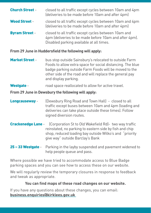| <b>Church Street -</b> | closed to all traffic except cycles between 10am and 4pm<br>(deliveries to be made before 10am and after 4pm)                                              |
|------------------------|------------------------------------------------------------------------------------------------------------------------------------------------------------|
| <b>Wood Street -</b>   | closed to all traffic except cycles between 10am and 4pm<br>(deliveries to be made before 10am and after 4pm)                                              |
| <b>Byram Street -</b>  | closed to all traffic except cycles between 10am and<br>4pm (deliveries to be made before 10am and after 4pm).<br>Disabled parking available at all times. |

### **From 29 June in Huddersfield the following will apply:**

**Market Street** - bus stop outside Sainsbury's relocated to outside Farm Foods to allow extra space for social distancing. The blue badge parking outside Farm Foods will be moved to the other side of the road and will replace the general pay and display parking.

### Westgate - road space reallocated to allow for active travel.

### **From 29 June in Dewsbury the following will apply:**

- **Longcauseway** [Dewsbury Ring Road and Town Hall] closed to all traffic except buses between 10am and 4pm (loading and deliveries can take place outside these times). Follow signed diversion routes.
- **Crackenedge Lane** (Corporation St to Old Wakefield Rd) two way traffic reinstated, no parking to eastern side by fish and chip shop, reduced loading bay outside Wilko's and "priority give way" outside Barclay's Bank
- 25 33 Westgate Parking in the layby suspended and pavement widened to help people queue and pass.

Where possible we have tried to accommodate access to Blue Badge parking spaces and you can see how to access these on our website.

We will regularly review the temporary closures in response to feedback and tweak as appropriate.

### **You can find maps of these road changes on our website.**

If you have any questions about these changes, you can email: **business.enquiries@kirklees.gov.uk**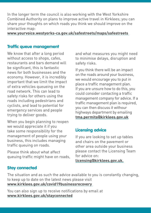In the longer term the council is also working with the West Yorkshire Combined Authority on plans to improve active travel in Kirklees; you can share your thoughts on which roads you think we should improve on the interactive map:

**www.yourvoice.westyorks-ca.gov.uk/safestreets/maps/safestreets** 

## Traffic queue management

We know that after a long period without access to shops, cafes. restaurants and bars demand will be significant, this is fantastic news for both businesses and the economy. However, it is incredibly important that we limit the impact of extra vehicles queueing on the road network. This can lead to safety risks for others using the roads including pedestrians and cyclists, and lead to potential for emergency services and people trying to deliver goods.

When you begin planning to reopen we would appreciate it if you take some responsibility for the management of people using your business, this includes managing traffic queuing on roads.

Please think about what affect queuing traffic might have on roads, and what measures you might need to minimise delays, disruption and safety risks.

If you think there will be an impact on the roads around your business, we would encourage you to put in place a traffic management plan. If you are unsure how to do this, you could consider contacting a traffic management company for advice. If a traffic management plan is required, you can then discuss it withour highways department by emailing **tma.permits@kirklees.gov.uk**

# Licensing advice

If you are looking to set up tables and chairs on the pavement or other area outside your business please contact the Licensing Team for advice on:

**licensing@kirklees.gov.uk.**

# Stay connected

The situation and as such the advice available to you is constantly changing, to keep up to date on the latest news please visit **www.kirklees.gov.uk/covid19businessrecovery** 

You can also sign up to receive notifications by email at **www.kirklees.gov.uk/stayconnected**